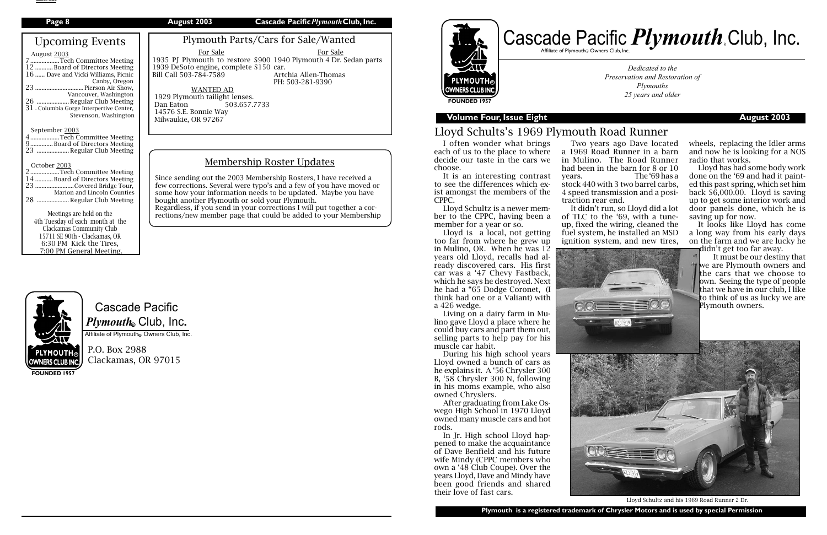# Cascade Pacific  $\boldsymbol{P} \boldsymbol{l}$ y*mouth*. Club, Inc.

Affiliate of Plymouth Owners Club, Inc.

P.O. Box 2988 Clackamas, OR 97015

## **PLYMOUTH OWNERS CLUB INC FOUNDED 1957**



## **Volume Four, Issue Eight August 2003**

**FOUNDED 1957**

*Dedicated to the Preservation and Restoration of Plymouths 25 years and older*

# Cascade Pacific *Plymouth* Club, Inc. Affiliate of Plymouth $_{\tiny \textcircled{\tiny \textcirc}}$  Owners Club, Inc.

## Lloyd Schults's 1969 Plymouth Road Runner

I often wonder what brings each of us to the place to where decide our taste in the cars we choose.

It is an interesting contrast to see the differences which exist amongst the members of the CPPC.

Lloyd Schultz is a newer member to the CPPC, having been a member for a year or so.

| Page 8                                                                                                                                                                                                                                                                                                                                                                                                                                                        | Cascade Pacific Plymouth Club, Inc.<br>August 2003                                                                                                                                                                                                                                                                                                                                                                                          |
|---------------------------------------------------------------------------------------------------------------------------------------------------------------------------------------------------------------------------------------------------------------------------------------------------------------------------------------------------------------------------------------------------------------------------------------------------------------|---------------------------------------------------------------------------------------------------------------------------------------------------------------------------------------------------------------------------------------------------------------------------------------------------------------------------------------------------------------------------------------------------------------------------------------------|
| <b>Upcoming Events</b><br>August 2003<br>7Tech Committee Meeting<br>12 Board of Directors Meeting<br>16  Dave and Vicki Williams, Picnic<br>Canby, Oregon<br>23  Pierson Air Show,<br>Vancouver, Washington<br>26  Regular Club Meeting<br>31. Columbia Gorge Interpertive Center,<br>Stevenson, Washington                                                                                                                                                   | Plymouth Parts/Cars for Sale/Wanted<br>For Sale<br>For Sale<br>1935 PJ Plymouth to restore \$900 1940 Plymouth 4 Dr. Sedan parts<br>1939 DeSoto engine, complete \$150 car.<br>Artchia Allen-Thomas<br>Bill Call 503-784-7589<br>PH: 503-281-9390<br><b>WANTED AD</b><br>1929 Plymouth tailight lenses.<br>Dan Eaton<br>503.657.7733<br>14576 S.E. Bonnie Way<br>Milwaukie, OR 97267                                                        |
| September 2003<br>4 Tech Committee Meeting<br>9 Board of Directors Meeting<br>23  Regular Club Meeting<br>October 2003<br>2 Tech Committee Meeting<br>14 Board of Directors Meeting<br>23 Covered Bridge Tour,<br>Marion and Lincoln Counties<br>28  Regular Club Meeting<br>Meetings are held on the<br>4th Tuesday of each month at the<br>Clackamas Community Club<br>15711 SE 90th - Clackamas, OR<br>6:30 PM Kick the Tires,<br>7:00 PM General Meeting. | <b>Membership Roster Updates</b><br>Since sending out the 2003 Membership Rosters, I have received a<br>few corrections. Several were typo's and a few of you have moved or<br>some how your information needs to be updated. Maybe you have<br>bought another Plymouth or sold your Plymouth.<br>Regardless, if you send in your corrections I will put together a cor-<br>rections/new member page that could be added to your Membership |



Lloyd is a local, not getting too far from where he grew up in Mulino, OR. When he was 12 years old Lloyd, recalls had already discovered cars. His first car was a '47 Chevy Fastback, which he says he destroyed. Next he had a "65 Dodge Coronet, (I think had one or a Valiant) with a 426 wedge.

It looks like Lloyd has come a long way from his early days on the farm and we are lucky he didn't get too far away.

Living on a dairy farm in Mulino gave Lloyd a place where he could buy cars and part them out, selling parts to help pay for his muscle car habit.

During his high school years Lloyd owned a bunch of cars as he explains it. A '56 Chrysler 300 B, '58 Chrysler 300 N, following in his moms example, who also owned Chryslers.

After graduating from Lake Oswego High School in 1970 Lloyd owned many muscle cars and hot rods.

In Jr. High school Lloyd happened to make the acquaintance of Dave Benfield and his future wife Mindy (CPPC members who own a '48 Club Coupe). Over the years Lloyd, Dave and Mindy have been good friends and shared their love of fast cars.



Lloyd Schultz and his 1969 Road Runner 2 Dr.



Two years ago Dave located a 1969 Road Runner in a barn in Mulino. The Road Runner had been in the barn for 8 or 10 years. The '69 has a

stock 440 with 3 two barrel carbs, 4 speed transmission and a positraction rear end.

It didn't run, so Lloyd did a lot of TLC to the '69, with a tuneup, fixed the wiring, cleaned the fuel system, he installed an MSD ignition system, and new tires,

wheels, replacing the Idler arms and now he is looking for a NOS radio that works.

Lloyd has had some body work done on the '69 and had it painted this past spring, which set him back \$6,000.00. Lloyd is saving up to get some interior work and door panels done, which he is saving up for now.

It must be our destiny that **the we are Plymouth owners and** the cars that we choose to own. Seeing the type of people that we have in our club, I like to think of us as lucky we are Plymouth owners.

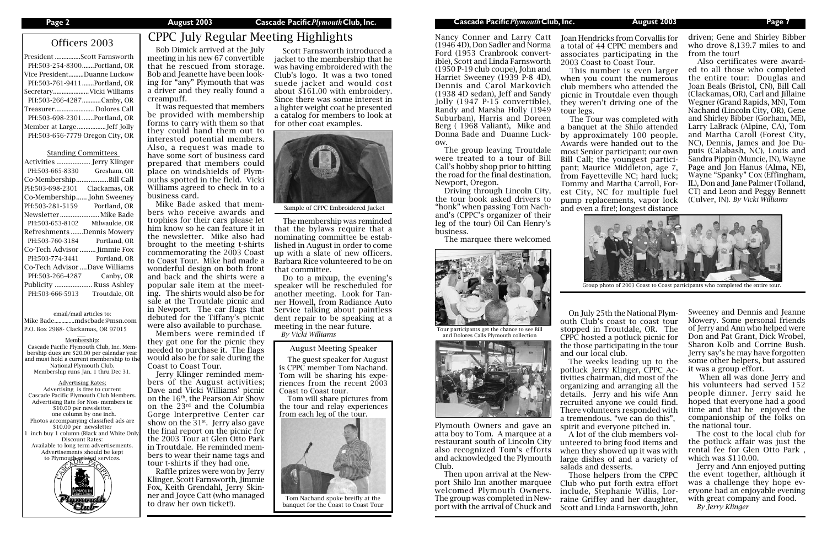| President Scott Farnsworth      |
|---------------------------------|
| PH:503-254-8300Portland, OR     |
| Vice PresidentDuanne Luckow     |
| PH:503-761-9411Portland, OR     |
| Secretary Vicki Williams        |
| PH:503-266-4287 Canby, OR       |
| Treasurer Dolores Call          |
| PH:503-698-2301Portland, OR     |
|                                 |
| PH:503-656-7779 Oregon City, OR |
|                                 |

## Standing Committees

Advertising Rates: Advertising is free to current Cascade Pacific Plymouth Club Members. Advertising Rate for Non- members is: \$10.00 per newsletter. one column by one inch. Photos accompanying classified ads are \$10.00 per newsletter inch buy 1 column (Black and White Only Discount Rates: Available to long term advertisements. Advertisements should be kept to Plymouth related services.



| Activities                    | Jerry Klinger      |
|-------------------------------|--------------------|
| PH:503-665-8330               | Gresham, OR        |
| Co-Membership.                | Bill Call          |
| PH:503-698-2301               | Clackamas, OR      |
| Co-Membership                 | John Sweeney       |
| PH:503-281-5159               | Portland, OR       |
| Newsletter                    | Mike Bade          |
| PH:503-653-8102               | Milwaukie, OR      |
| Refreshments Dennis Mowery    |                    |
| PH:503-760-3184               | Portland, OR       |
|                               |                    |
| Co-Tech Advisor  Jimmie Fox   |                    |
| PH:503-774-3441               | Portland, OR       |
| Co-Tech Advisor Dave Williams |                    |
| PH:503-266-4287               | Canby, OR          |
| Publicity                     | <b>Russ Ashley</b> |
| PH:503-666-5913               | Troutdale, OR      |

email/mail articles to: Mike Bade..............mdscbade@msn.com P.O. Box 2988- Clackamas, OR 97015

Membership: Cascade Pacific Plymouth Club, Inc. Membership dues are \$20.00 per calendar year and must hold a current membership to the National Plymouth Club. Membership runs Jan. 1 thru Dec 31.

# Officers 2003 CPPC July Regular Meeting Highlights

Bob Dimick arrived at the July meeting in his new 67 convertible that he rescued from storage. Bob and Jeanette have been looking for "any" Plymouth that was a driver and they really found a creampuff.

It was requested that members be provided with membership forms to carry with them so that they could hand them out to interested potential members. Also, a request was made to have some sort of business card prepared that members could place on windshields of Plymouths spotted in the field. Vicki Williams agreed to check in to a business card.

Mike Bade asked that members who receive awards and trophies for their cars please let him know so he can feature it in the newsletter. Mike also had brought to the meeting t-shirts commemorating the 2003 Coast to Coast Tour. Mike had made a wonderful design on both front and back and the shirts were a popular sale item at the meeting. The shirts would also be for sale at the Troutdale picnic and in Newport. The car flags that debuted for the Tiffany's picnic were also available to purchase.

Members were reminded if they got one for the picnic they needed to purchase it. The flags would also be for sale during the Coast to Coast Tour.

Jerry Klinger reminded members of the August activities; Dave and Vicki Williams' picnic on the 16th, the Pearson Air Show on the 23rd and the Columbia Gorge Interpretive Center car show on the  $31<sup>st</sup>$ . Jerry also gave the final report on the picnic for the 2003 Tour at Glen Otto Park in Troutdale. He reminded members to wear their name tags and tour t-shirts if they had one.

Raffle prizes were won by Jerry Klinger, Scott Farnsworth, Jimmie Fox, Keith Grendahl, Jerry Skinner and Joyce Catt (who managed to draw her own ticket!).

Scott Farnsworth introduced a jacket to the membership that he was having embroidered with the Club's logo. It was a two toned suede jacket and would cost about \$161.00 with embroidery. Since there was some interest in a lighter weight coat he presented a catalog for members to look at for other coat examples.

The membership was reminded that the bylaws require that a nominating committee be established in August in order to come up with a slate of new officers. Barbara Rice volunteered to be on that committee.

Do to a mixup, the evening's speaker will be rescheduled for another meeting. Look for Tanner Howell, from Radiance Auto Service talking about paintless dent repair to be speaking at a meeting in the near future.

*By Vicki Williams*

August Meeting Speaker

The guest speaker for August is CPPC member Tom Nachand. Tom will be sharing his experiences from the recent 2003 Coast to Coast tour.

Tom will share pictures from the tour and relay experiences from each leg of the tour.

On July 25th the National Plymouth Club's coast to coast tour stopped in Troutdale, OR. The CPPC hosted a potluck picnic for the those participating in the tour and our local club.

The weeks leading up to the potluck Jerry Klinger, CPPC Activities chairman, did most of the organizing and arranging all the details. Jerry and his wife Ann recruited anyone we could find. There volunteers responded with a tremendous. "we can do this", spirit and everyone pitched in.

A lot of the club members volunteered to bring food items and when they showed up it was with large dishes of and a variety of salads and desserts.

Those helpers from the CPPC Club who put forth extra effort include, Stephanie Willis, Lorraine Griffey and her daughter, Scott and Linda Farnsworth, John

Sweeney and Dennis and Jeanne Mowery. Some personal friends of Jerry and Ann who helped were Don and Pat Grant, Dick Wrobel, Sharon Kolb and Corrine Bush. Jerry say's he may have forgotten some other helpers, but assured it was a group effort.

 When all was done Jerry and his volunteers had served 152 people dinner. Jerry said he hoped that everyone had a good time and that he enjoyed the companionship of the folks on the national tour.

The cost to the local club for the potluck affair was just the rental fee for Glen Otto Park , which was \$110.00.

Jerry and Ann enjoyed putting the event together, although it was a challenge they hope everyone had an enjoyable evening with great company and food. *By Jerry Klinger*

Nancy Conner and Larry Catt (1946 4D), Don Sadler and Norma Ford (1953 Cranbrook convertible), Scott and Linda Farnsworth (1950 P-19 club coupe), John and Harriet Sweeney (1939 P-8 4D), Dennis and Carol Markovich (1938 4D sedan), Jeff and Sandy Jolly (1947 P-15 convertible), Randy and Marsha Holly (1949 Suburban), Harris and Doreen Berg ( 1968 Valiant), Mike and Donna Bade and Duanne Luckow.

The group leaving Troutdale were treated to a tour of Bill Call's hobby shop prior to hitting the road for the final destination, Newport, Oregon.

Driving through Lincoln City, the tour book asked drivers to "honk" when passing Tom Nachand's (CPPC's organizer of their leg of the tour) Oil Can Henry's business.

The marquee there welcomed

Plymouth Owners and gave an atta boy to Tom. A marquee at a restaurant south of Lincoln City also recognized Tom's efforts and acknowledged the Plymouth Club.

Then upon arrival at the Newport Shilo Inn another marquee welcomed Plymouth Owners. The group was completed in Newport with the arrival of Chuck and

driven; Gene and Shirley Bibber who drove 8,139.7 miles to and from the tour!

Also certificates were awarded to all those who completed the entire tour: Douglas and Joan Beals (Bristol, CN), Bill Call (Clackamas, OR), Carl and Jillaine Wegner (Grand Rapids, MN), Tom Nachand (Lincoln City, OR), Gene and Shirley Bibber (Gorham, ME), Larry LaBrack (Alpine, CA), Tom and Martha Caroll (Forest City, NC), Dennis, James and Joe Dupuis (Calabash, NC), Louis and Sandra Pippin (Muncie, IN), Wayne Page and Jon Hanus (Alma, NE), Wayne "Spanky" Cox (Effingham, IL), Don and Jane Palmer (Tolland, CT) and Leon and Peggy Bennett (Culver, IN). *By Vicki Williams*

Joan Hendricks from Corvallis for a total of 44 CPPC members and associates participating in the 2003 Coast to Coast Tour.

This number is even larger when you count the numerous club members who attended the picnic in Troutdale even though they weren't driving one of the

tour legs.

The Tour was completed with a banquet at the Shilo attended by approximately 100 people. Awards were handed out to the most Senior participant; our own Bill Call; the youngest participant; Maurice Middleton, age 7, from Fayetteville NC; hard luck; Tommy and Martha Carroll, Forest City, NC for multiple fuel pump replacements, vapor lock and even a fire!; longest distance





Tour participants get the chance to see Bill and Dolores Calls Plymouth collection





Group photo of 2003 Coast to Coast participants who completed the entire tour.



Sample of CPPC Embroidered Jacket



Tom Nachand spoke breifly at the banquet for the Coast to Coast Tour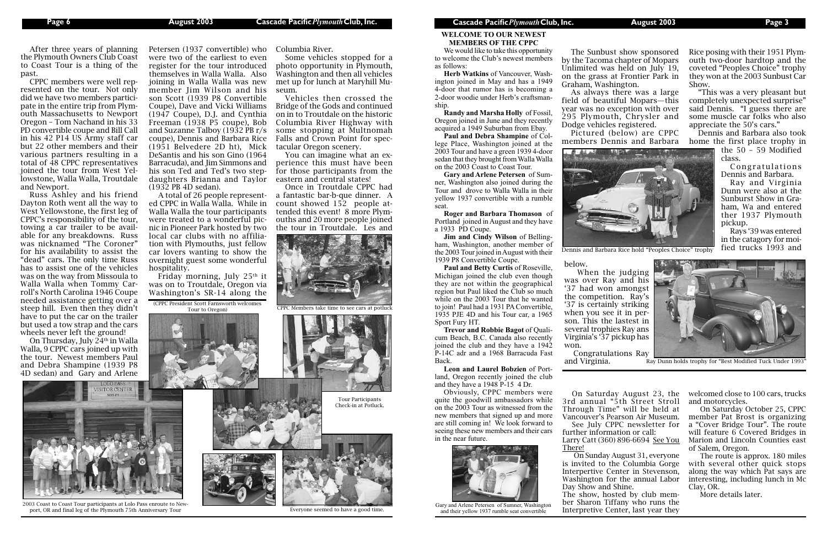**WELCOME TO OUR NEWEST MEMBERS OF THE CPPC**

We would like to take this opportunity to welcome the Club's newest members as follows:

**Herb Watkins** of Vancouver, Washington joined in May and has a 1949 4-door that rumor has is becoming a 2-door woodie under Herb's craftsmanship.

**Randy and Marsha Holly** of Fossil, Oregon joined in June and they recently acquired a 1949 Suburban from Ebay.

**Paul and Debra Shampine** of College Place, Washington joined at the 2003 Tour and have a green 1939 4-door sedan that they brought from Walla Walla on the 2003 Coast to Coast Tour.

**Gary and Arlene Petersen** of Sumner, Washington also joined during the Tour and drove to Walla Walla in their yellow 1937 convertible with a rumble seat.

**Roger and Barbara Thomason** of Portland joined in August and they have a 1933 PD Coupe.

**Jim and Cindy Wilson** of Belling-



ham, Washington, another member of the 2003 Tour joined in August with their 1939 P8 Convertible Coupe.

**Paul and Betty Curtis** of Roseville, Michigan joined the club even though they are not within the geographical region but Paul liked the Club so much while on the 2003 Tour that he wanted to join! Paul had a 1931 PA Convertible, 1935 PJE 4D and his Tour car, a 1965 Sport Fury HT.

**Trevor and Robbie Bagot** of Qualicum Beach, B.C. Canada also recently joined the club and they have a 1942 P-14C adr and a 1968 Barracuda Fast Back.

**Leon and Laurel Bobzien** of Portland, Oregon recently joined the club and they have a 1948 P-15 4 Dr.

Obviously, CPPC members were quite the goodwill ambassadors while on the 2003 Tour as witnessed from the new members that signed up and more are still coming in! We look forward to seeing these new members and their cars in the near future.





2003 Coast to Coast Tour participants at Lolo Pass enroute to Newport, OR and final leg of the Plymouth 75th Anniversary Tour

After three years of planning the Plymouth Owners Club Coast to Coast Tour is a thing of the past.

> Friday morning, July  $25<sup>th</sup>$  it was on to Troutdale, Oregon via Washington's SR-14 along the

CPPC members were well represented on the tour. Not only did we have two members participate in the entire trip from Plymouth Massachusetts to Newport Oregon – Tom Nachand in his 33 PD convertible coupe and Bill Call in his 42 P14 US Army staff car but 22 other members and their various partners resulting in a total of 48 CPPC representatives joined the tour from West Yellowstone, Walla Walla, Troutdale and Newport.

> $(CPPC\text{ President Scott Farnsworth welcomes}$ Tour to Oregon)



Everyone seemed to have a good time.<br>Everyone seemed to have a good time. Gary and their vallow 1937 runble gest convertible. and their yellow 1937 rumble seat convertible

Russ Ashley and his friend Dayton Roth went all the way to West Yellowstone, the first leg of CPPC's responsibility of the tour, towing a car trailer to be available for any breakdowns. Russ was nicknamed "The Coroner" for his availability to assist the "dead" cars. The only time Russ has to assist one of the vehicles was on the way from Missoula to Walla Walla when Tommy Carroll's North Carolina 1946 Coupe needed assistance getting over a steep hill. Even then they didn't have to put the car on the trailer but used a tow strap and the cars wheels never left the ground!

On Thursday, July 24th in Walla Walla, 9 CPPC cars joined up with the tour. Newest members Paul and Debra Shampine (1939 P8 4D sedan) and Gary and Arlene

Petersen (1937 convertible) who were two of the earliest to even register for the tour introduced themselves in Walla Walla. Also joining in Walla Walla was new member Jim Wilson and his son Scott (1939 P8 Convertible Coupe), Dave and Vicki Williams (1947 Coupe), D.J. and Cynthia Freeman (1938 P5 coupe), Bob and Suzanne Talboy (1932 PB r/s coupe), Dennis and Barbara Rice (1951 Belvedere 2D ht), Mick DeSantis and his son Gino (1964 Barracuda), and Jim Simmons and his son Ted and Ted's two stepdaughters Brianna and Taylor (1932 PB 4D sedan).

A total of 26 people represented CPPC in Walla Walla. While in Walla Walla the tour participants were treated to a wonderful picnic in Pioneer Park hosted by two local car clubs with no affiliation with Plymouths, just fellow car lovers wanting to show the overnight guest some wonderful hospitality.

Columbia River.

Some vehicles stopped for a photo opportunity in Plymouth, Washington and then all vehicles met up for lunch at Maryhill Mu-

seum.

Vehicles then crossed the Bridge of the Gods and continued on in to Troutdale on the historic Columbia River Highway with some stopping at Multnomah Falls and Crown Point for spec-

tacular Oregon scenery.

You can imagine what an experience this must have been for those participants from the

eastern and central states!

Once in Troutdale CPPC had a fantastic bar-b-que dinner. A count showed 152 people attended this event! 8 more Plymouths and 20 more people joined the tour in Troutdale. Les and

> Tour Participants Check-in at Potluck.

The Sunbust show sponsored by the Tacoma chapter of Mopars Unlimited was held on July 19, on the grass at Frontier Park in Graham, Washington.

As always there was a large field of beautiful Mopars—this year was no exception with over 295 Plymouth, Chrysler and Dodge vehicles registered.

Pictured (below) are CPPC members Dennis and Barbara



Rice posing with their 1951 Plymouth two-door hardtop and the coveted "Peoples Choice" trophy they won at the 2003 Sunbust Car Show.

"This was a very pleasant but completely unexpected surprise" said Dennis. "I guess there are some muscle car folks who also appreciate the 50's cars."

Dennis and Barbara also took home the first place trophy in

Dennis and Barbara Rice hold "Peoples Choice" trophy

the 50 – 59 Modified class.

Congratulations Dennis and Barbara.

Ray and Virginia Dunn were also at the Sunburst Show in Graham, Wa and entered ther 1937 Plymouth pickup.

Rays '39 was entered in the catagory for moified trucks 1993 and



Ray Dunn holds trophy for "Best Modified Tuck Under 1993

below.

 When the judging was over Ray and his

'37 had won amongst the competition. Ray's '37 is certainly striking when you see it in person. This the lastest in several trophies Ray ans Virginia's '37 pickup has won.

Congratulations Ray and Virginia.

On Saturday August 23, the 3rd annual "5th Street Stroll Through Time" will be held at Vancouver's Pearson Air Museum. See July CPPC newsletter for further information or call:

Larry Catt (360) 896-6694 See You

There!

On Sunday August 31, everyone is invited to the Columbia Gorge Interpertive Center in Stevenson, Washington for the annual Labor Day Show and Shine. The show, hosted by club member Sharon Tiffany who runs the Interpretive Center, last year they

welcomed close to 100 cars, trucks and motorcycles.

On Saturday October 25, CPPC member Pat Brost is organizing a "Cover Bridge Tour". The route will feature 6 Covered Bridges in Marion and Lincoln Counties east of Salem, Oregon.

The route is approx. 180 miles with several other quick stops along the way which Pat says are interesting, including lunch in Mc Clay, OR.

More details later.